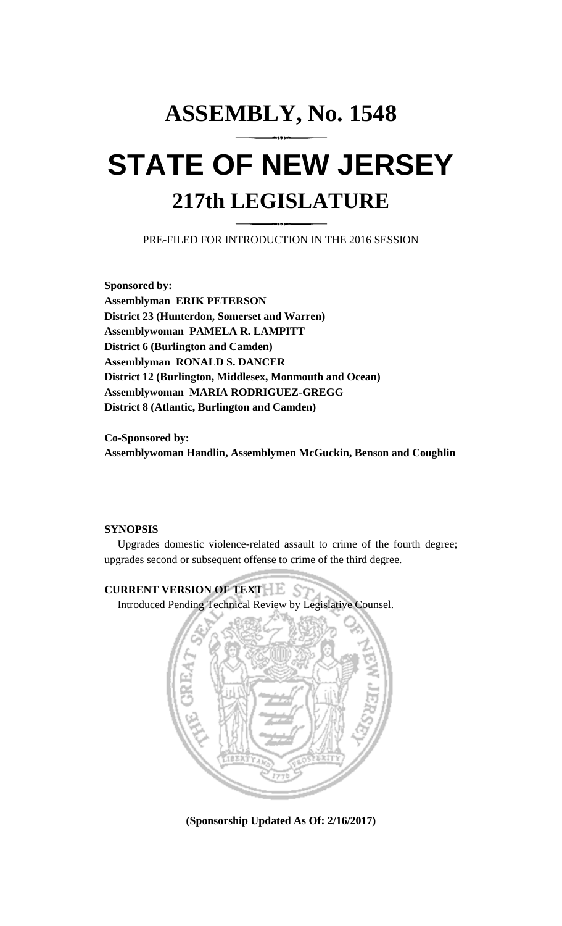# **ASSEMBLY, No. 1548 STATE OF NEW JERSEY 217th LEGISLATURE**

PRE-FILED FOR INTRODUCTION IN THE 2016 SESSION

**Sponsored by: Assemblyman ERIK PETERSON District 23 (Hunterdon, Somerset and Warren) Assemblywoman PAMELA R. LAMPITT District 6 (Burlington and Camden) Assemblyman RONALD S. DANCER District 12 (Burlington, Middlesex, Monmouth and Ocean) Assemblywoman MARIA RODRIGUEZ-GREGG District 8 (Atlantic, Burlington and Camden)**

**Co-Sponsored by: Assemblywoman Handlin, Assemblymen McGuckin, Benson and Coughlin**

## **SYNOPSIS**

Upgrades domestic violence-related assault to crime of the fourth degree; upgrades second or subsequent offense to crime of the third degree.

# **CURRENT VERSION OF TEXT**

Introduced Pending Technical Review by Legislative Counsel.



**(Sponsorship Updated As Of: 2/16/2017)**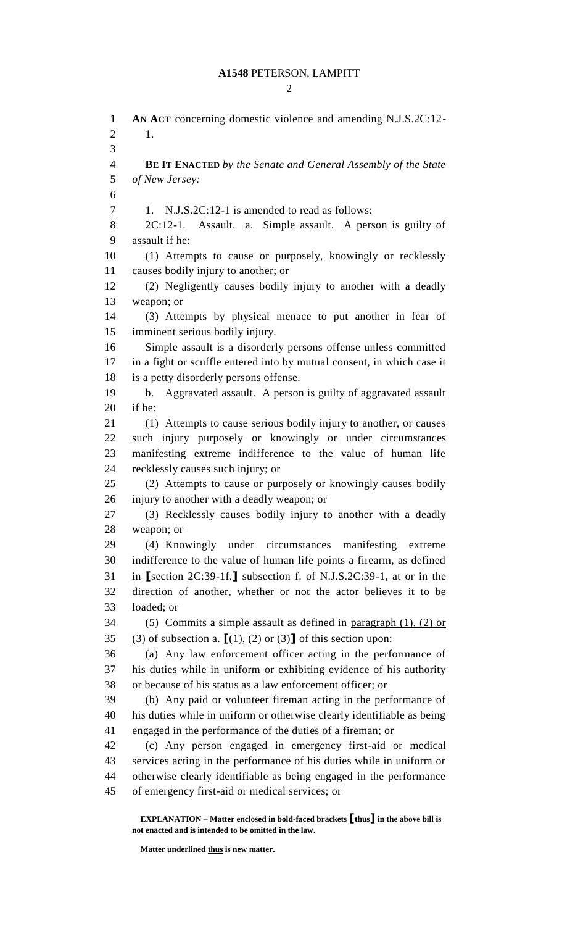**AN ACT** concerning domestic violence and amending N.J.S.2C:12- 1. **BE IT ENACTED** *by the Senate and General Assembly of the State of New Jersey:* 7 1. N.J.S.2C:12-1 is amended to read as follows: 2C:12-1. Assault. a. Simple assault. A person is guilty of assault if he: (1) Attempts to cause or purposely, knowingly or recklessly causes bodily injury to another; or (2) Negligently causes bodily injury to another with a deadly weapon; or (3) Attempts by physical menace to put another in fear of imminent serious bodily injury. Simple assault is a disorderly persons offense unless committed in a fight or scuffle entered into by mutual consent, in which case it is a petty disorderly persons offense. b. Aggravated assault. A person is guilty of aggravated assault if he: (1) Attempts to cause serious bodily injury to another, or causes such injury purposely or knowingly or under circumstances manifesting extreme indifference to the value of human life recklessly causes such injury; or (2) Attempts to cause or purposely or knowingly causes bodily injury to another with a deadly weapon; or (3) Recklessly causes bodily injury to another with a deadly weapon; or (4) Knowingly under circumstances manifesting extreme indifference to the value of human life points a firearm, as defined in **[**section 2C:39-1f.**]** subsection f. of N.J.S.2C:39-1, at or in the direction of another, whether or not the actor believes it to be loaded; or (5) Commits a simple assault as defined in paragraph (1), (2) or (3) of subsection a. **[**(1), (2) or (3)**]** of this section upon: (a) Any law enforcement officer acting in the performance of his duties while in uniform or exhibiting evidence of his authority or because of his status as a law enforcement officer; or (b) Any paid or volunteer fireman acting in the performance of his duties while in uniform or otherwise clearly identifiable as being engaged in the performance of the duties of a fireman; or (c) Any person engaged in emergency first-aid or medical services acting in the performance of his duties while in uniform or otherwise clearly identifiable as being engaged in the performance of emergency first-aid or medical services; or

**EXPLANATION – Matter enclosed in bold-faced brackets [thus] in the above bill is not enacted and is intended to be omitted in the law.**

**Matter underlined thus is new matter.**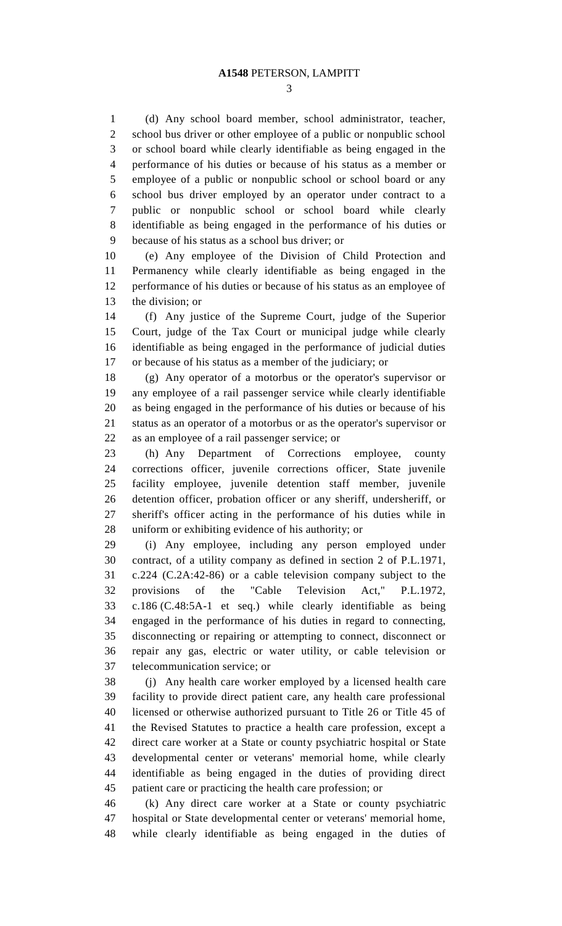(d) Any school board member, school administrator, teacher, school bus driver or other employee of a public or nonpublic school or school board while clearly identifiable as being engaged in the performance of his duties or because of his status as a member or employee of a public or nonpublic school or school board or any school bus driver employed by an operator under contract to a public or nonpublic school or school board while clearly identifiable as being engaged in the performance of his duties or because of his status as a school bus driver; or

 (e) Any employee of the Division of Child Protection and Permanency while clearly identifiable as being engaged in the performance of his duties or because of his status as an employee of the division; or

 (f) Any justice of the Supreme Court, judge of the Superior Court, judge of the Tax Court or municipal judge while clearly identifiable as being engaged in the performance of judicial duties or because of his status as a member of the judiciary; or

 (g) Any operator of a motorbus or the operator's supervisor or any employee of a rail passenger service while clearly identifiable as being engaged in the performance of his duties or because of his status as an operator of a motorbus or as the operator's supervisor or as an employee of a rail passenger service; or

 (h) Any Department of Corrections employee, county corrections officer, juvenile corrections officer, State juvenile facility employee, juvenile detention staff member, juvenile detention officer, probation officer or any sheriff, undersheriff, or sheriff's officer acting in the performance of his duties while in uniform or exhibiting evidence of his authority; or

 (i) Any employee, including any person employed under contract, of a utility company as defined in section 2 of P.L.1971, c.224 (C.2A:42-86) or a cable television company subject to the provisions of the "Cable Television Act," P.L.1972, c.186 (C.48:5A-1 et seq.) while clearly identifiable as being engaged in the performance of his duties in regard to connecting, disconnecting or repairing or attempting to connect, disconnect or repair any gas, electric or water utility, or cable television or telecommunication service; or

 (j) Any health care worker employed by a licensed health care facility to provide direct patient care, any health care professional licensed or otherwise authorized pursuant to Title 26 or Title 45 of the Revised Statutes to practice a health care profession, except a direct care worker at a State or county psychiatric hospital or State developmental center or veterans' memorial home, while clearly identifiable as being engaged in the duties of providing direct patient care or practicing the health care profession; or

 (k) Any direct care worker at a State or county psychiatric hospital or State developmental center or veterans' memorial home, while clearly identifiable as being engaged in the duties of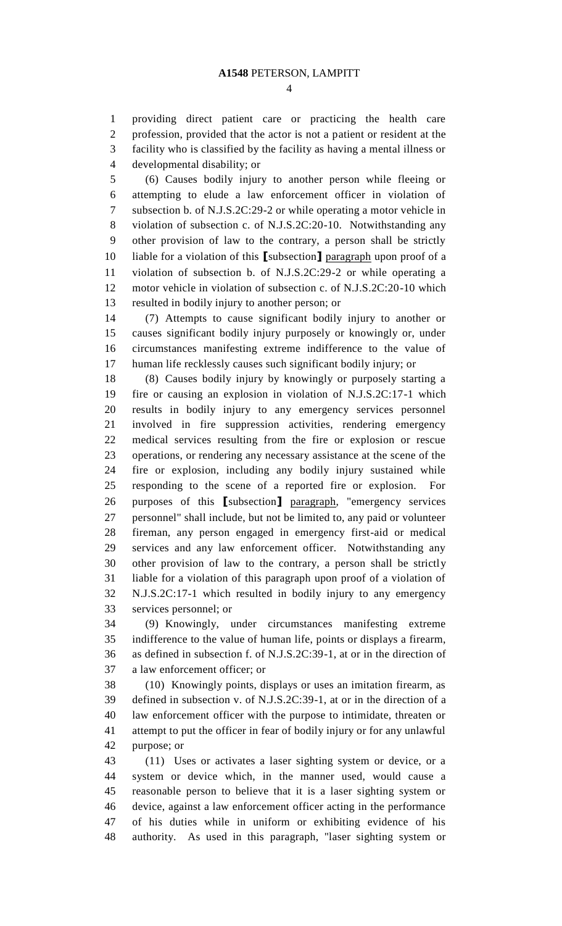providing direct patient care or practicing the health care profession, provided that the actor is not a patient or resident at the facility who is classified by the facility as having a mental illness or

developmental disability; or

 (6) Causes bodily injury to another person while fleeing or attempting to elude a law enforcement officer in violation of subsection b. of N.J.S.2C:29-2 or while operating a motor vehicle in violation of subsection c. of N.J.S.2C:20-10. Notwithstanding any other provision of law to the contrary, a person shall be strictly liable for a violation of this **[**subsection**]** paragraph upon proof of a violation of subsection b. of N.J.S.2C:29-2 or while operating a motor vehicle in violation of subsection c. of N.J.S.2C:20-10 which resulted in bodily injury to another person; or

 (7) Attempts to cause significant bodily injury to another or causes significant bodily injury purposely or knowingly or, under circumstances manifesting extreme indifference to the value of human life recklessly causes such significant bodily injury; or

 (8) Causes bodily injury by knowingly or purposely starting a fire or causing an explosion in violation of N.J.S.2C:17-1 which results in bodily injury to any emergency services personnel involved in fire suppression activities, rendering emergency medical services resulting from the fire or explosion or rescue operations, or rendering any necessary assistance at the scene of the fire or explosion, including any bodily injury sustained while responding to the scene of a reported fire or explosion. For purposes of this **[**subsection**]** paragraph, "emergency services personnel" shall include, but not be limited to, any paid or volunteer fireman, any person engaged in emergency first-aid or medical services and any law enforcement officer. Notwithstanding any other provision of law to the contrary, a person shall be strictly liable for a violation of this paragraph upon proof of a violation of N.J.S.2C:17-1 which resulted in bodily injury to any emergency services personnel; or

 (9) Knowingly, under circumstances manifesting extreme indifference to the value of human life, points or displays a firearm, as defined in subsection f. of N.J.S.2C:39-1, at or in the direction of a law enforcement officer; or

 (10) Knowingly points, displays or uses an imitation firearm, as defined in subsection v. of N.J.S.2C:39-1, at or in the direction of a law enforcement officer with the purpose to intimidate, threaten or attempt to put the officer in fear of bodily injury or for any unlawful purpose; or

 (11) Uses or activates a laser sighting system or device, or a system or device which, in the manner used, would cause a reasonable person to believe that it is a laser sighting system or device, against a law enforcement officer acting in the performance of his duties while in uniform or exhibiting evidence of his authority. As used in this paragraph, "laser sighting system or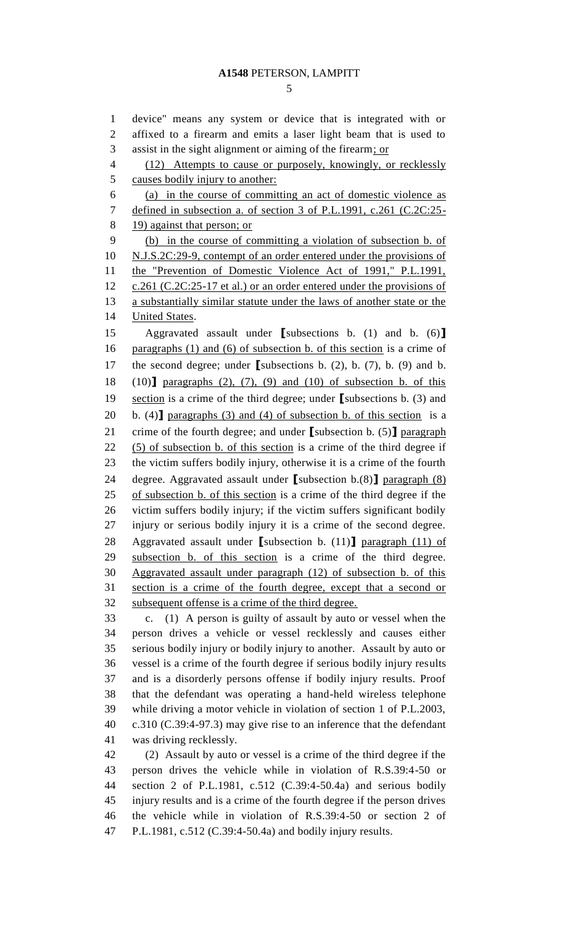device" means any system or device that is integrated with or affixed to a firearm and emits a laser light beam that is used to 3 assist in the sight alignment or aiming of the firearm; or (12) Attempts to cause or purposely, knowingly, or recklessly causes bodily injury to another: (a) in the course of committing an act of domestic violence as 7 defined in subsection a. of section 3 of P.L.1991, c.261 (C.2C:25- 19) against that person; or (b) in the course of committing a violation of subsection b. of N.J.S.2C:29-9, contempt of an order entered under the provisions of the "Prevention of Domestic Violence Act of 1991," P.L.1991, 12 c.261 (C.2C:25-17 et al.) or an order entered under the provisions of a substantially similar statute under the laws of another state or the **United States.**  Aggravated assault under **[**subsections b. (1) and b. (6)**]** 16 paragraphs (1) and (6) of subsection b. of this section is a crime of the second degree; under **[**subsections b. (2), b. (7), b. (9) and b. (10)**]** paragraphs (2), (7), (9) and (10) of subsection b. of this section is a crime of the third degree; under **[**subsections b. (3) and b. (4)**]** paragraphs (3) and (4) of subsection b. of this section is a crime of the fourth degree; and under **[**subsection b. (5)**]** paragraph (5) of subsection b. of this section is a crime of the third degree if the victim suffers bodily injury, otherwise it is a crime of the fourth degree. Aggravated assault under **[**subsection b.(8)**]** paragraph (8) of subsection b. of this section is a crime of the third degree if the victim suffers bodily injury; if the victim suffers significant bodily injury or serious bodily injury it is a crime of the second degree. Aggravated assault under **[**subsection b. (11)**]** paragraph (11) of subsection b. of this section is a crime of the third degree. Aggravated assault under paragraph (12) of subsection b. of this section is a crime of the fourth degree, except that a second or subsequent offense is a crime of the third degree. c. (1) A person is guilty of assault by auto or vessel when the person drives a vehicle or vessel recklessly and causes either serious bodily injury or bodily injury to another. Assault by auto or vessel is a crime of the fourth degree if serious bodily injury results and is a disorderly persons offense if bodily injury results. Proof that the defendant was operating a hand-held wireless telephone while driving a motor vehicle in violation of section 1 of P.L.2003, c.310 (C.39:4-97.3) may give rise to an inference that the defendant was driving recklessly. (2) Assault by auto or vessel is a crime of the third degree if the

 person drives the vehicle while in violation of R.S.39:4-50 or section 2 of P.L.1981, c.512 (C.39:4-50.4a) and serious bodily injury results and is a crime of the fourth degree if the person drives the vehicle while in violation of R.S.39:4-50 or section 2 of P.L.1981, c.512 (C.39:4-50.4a) and bodily injury results.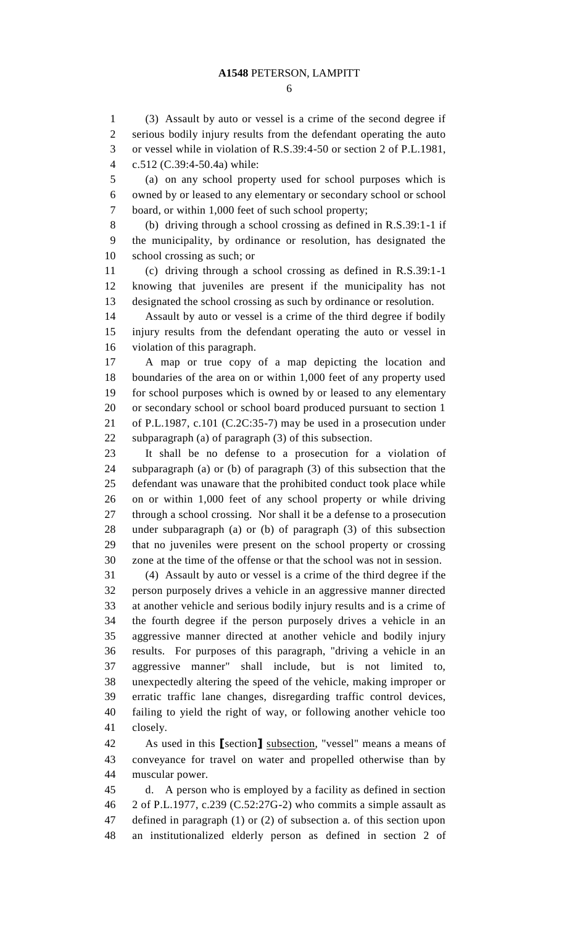#### **A1548** PETERSON, LAMPITT

 (3) Assault by auto or vessel is a crime of the second degree if serious bodily injury results from the defendant operating the auto or vessel while in violation of R.S.39:4-50 or section 2 of P.L.1981, c.512 (C.39:4-50.4a) while:

 (a) on any school property used for school purposes which is owned by or leased to any elementary or secondary school or school board, or within 1,000 feet of such school property;

 (b) driving through a school crossing as defined in R.S.39:1-1 if the municipality, by ordinance or resolution, has designated the school crossing as such; or

 (c) driving through a school crossing as defined in R.S.39:1-1 knowing that juveniles are present if the municipality has not designated the school crossing as such by ordinance or resolution.

 Assault by auto or vessel is a crime of the third degree if bodily injury results from the defendant operating the auto or vessel in violation of this paragraph.

 A map or true copy of a map depicting the location and boundaries of the area on or within 1,000 feet of any property used for school purposes which is owned by or leased to any elementary or secondary school or school board produced pursuant to section 1 of P.L.1987, c.101 (C.2C:35-7) may be used in a prosecution under subparagraph (a) of paragraph (3) of this subsection.

 It shall be no defense to a prosecution for a violation of subparagraph (a) or (b) of paragraph (3) of this subsection that the defendant was unaware that the prohibited conduct took place while on or within 1,000 feet of any school property or while driving through a school crossing. Nor shall it be a defense to a prosecution under subparagraph (a) or (b) of paragraph (3) of this subsection that no juveniles were present on the school property or crossing zone at the time of the offense or that the school was not in session.

 (4) Assault by auto or vessel is a crime of the third degree if the person purposely drives a vehicle in an aggressive manner directed at another vehicle and serious bodily injury results and is a crime of the fourth degree if the person purposely drives a vehicle in an aggressive manner directed at another vehicle and bodily injury results. For purposes of this paragraph, "driving a vehicle in an aggressive manner" shall include, but is not limited to, unexpectedly altering the speed of the vehicle, making improper or erratic traffic lane changes, disregarding traffic control devices, failing to yield the right of way, or following another vehicle too closely.

 As used in this **[**section**]** subsection, "vessel" means a means of conveyance for travel on water and propelled otherwise than by muscular power.

 d. A person who is employed by a facility as defined in section 2 of P.L.1977, c.239 (C.52:27G-2) who commits a simple assault as defined in paragraph (1) or (2) of subsection a. of this section upon an institutionalized elderly person as defined in section 2 of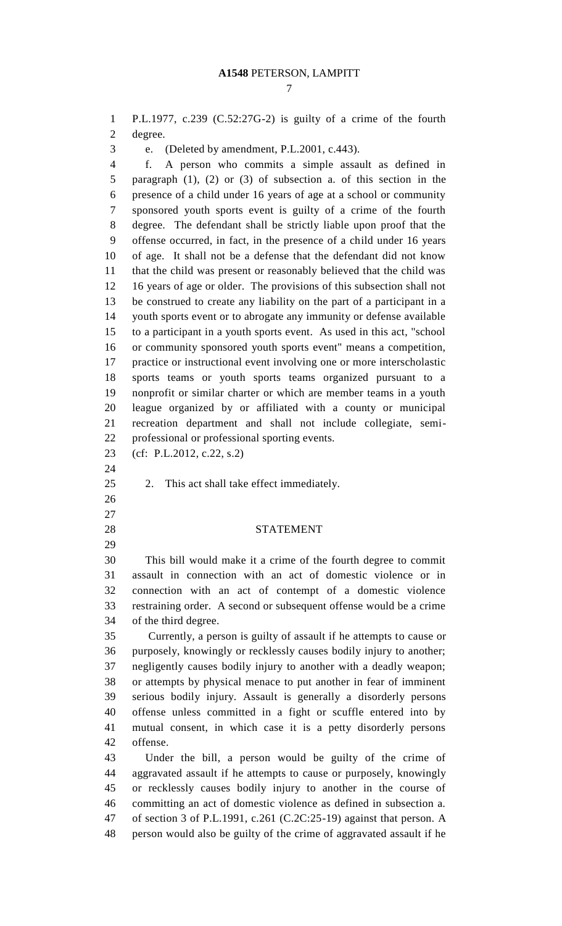P.L.1977, c.239 (C.52:27G-2) is guilty of a crime of the fourth degree.

e. (Deleted by amendment, P.L.2001, c.443).

 f. A person who commits a simple assault as defined in paragraph (1), (2) or (3) of subsection a. of this section in the presence of a child under 16 years of age at a school or community sponsored youth sports event is guilty of a crime of the fourth degree. The defendant shall be strictly liable upon proof that the offense occurred, in fact, in the presence of a child under 16 years of age. It shall not be a defense that the defendant did not know that the child was present or reasonably believed that the child was 16 years of age or older. The provisions of this subsection shall not be construed to create any liability on the part of a participant in a youth sports event or to abrogate any immunity or defense available to a participant in a youth sports event. As used in this act, "school or community sponsored youth sports event" means a competition, practice or instructional event involving one or more interscholastic sports teams or youth sports teams organized pursuant to a nonprofit or similar charter or which are member teams in a youth league organized by or affiliated with a county or municipal recreation department and shall not include collegiate, semi-professional or professional sporting events.

- (cf: P.L.2012, c.22, s.2)
- 
- 2. This act shall take effect immediately.
- 

#### STATEMENT

 This bill would make it a crime of the fourth degree to commit assault in connection with an act of domestic violence or in connection with an act of contempt of a domestic violence restraining order. A second or subsequent offense would be a crime of the third degree.

 Currently, a person is guilty of assault if he attempts to cause or purposely, knowingly or recklessly causes bodily injury to another; negligently causes bodily injury to another with a deadly weapon; or attempts by physical menace to put another in fear of imminent serious bodily injury. Assault is generally a disorderly persons offense unless committed in a fight or scuffle entered into by mutual consent, in which case it is a petty disorderly persons offense.

 Under the bill, a person would be guilty of the crime of aggravated assault if he attempts to cause or purposely, knowingly or recklessly causes bodily injury to another in the course of committing an act of domestic violence as defined in subsection a. of section 3 of P.L.1991, c.261 (C.2C:25-19) against that person. A person would also be guilty of the crime of aggravated assault if he